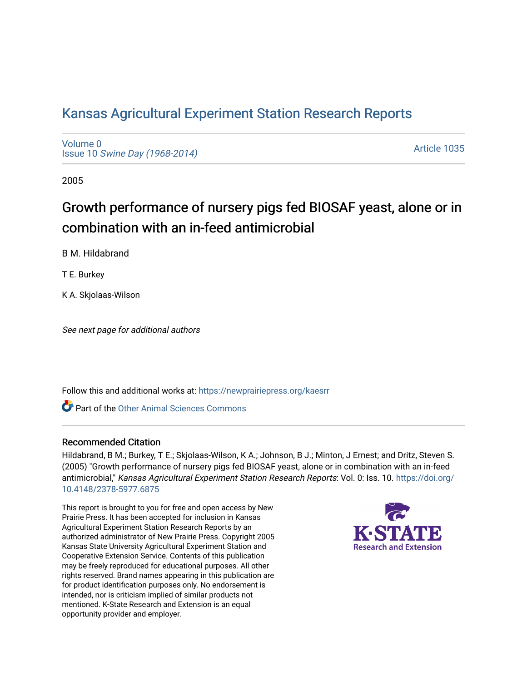# [Kansas Agricultural Experiment Station Research Reports](https://newprairiepress.org/kaesrr)

[Volume 0](https://newprairiepress.org/kaesrr/vol0) Issue 10 [Swine Day \(1968-2014\)](https://newprairiepress.org/kaesrr/vol0/iss10)

[Article 1035](https://newprairiepress.org/kaesrr/vol0/iss10/1035) 

2005

# Growth performance of nursery pigs fed BIOSAF yeast, alone or in combination with an in-feed antimicrobial

B M. Hildabrand

T E. Burkey

K A. Skjolaas-Wilson

See next page for additional authors

Follow this and additional works at: [https://newprairiepress.org/kaesrr](https://newprairiepress.org/kaesrr?utm_source=newprairiepress.org%2Fkaesrr%2Fvol0%2Fiss10%2F1035&utm_medium=PDF&utm_campaign=PDFCoverPages) 

Part of the [Other Animal Sciences Commons](http://network.bepress.com/hgg/discipline/82?utm_source=newprairiepress.org%2Fkaesrr%2Fvol0%2Fiss10%2F1035&utm_medium=PDF&utm_campaign=PDFCoverPages)

#### Recommended Citation

Hildabrand, B M.; Burkey, T E.; Skjolaas-Wilson, K A.; Johnson, B J.; Minton, J Ernest; and Dritz, Steven S. (2005) "Growth performance of nursery pigs fed BIOSAF yeast, alone or in combination with an in-feed antimicrobial," Kansas Agricultural Experiment Station Research Reports: Vol. 0: Iss. 10. [https://doi.org/](https://doi.org/10.4148/2378-5977.6875) [10.4148/2378-5977.6875](https://doi.org/10.4148/2378-5977.6875)

This report is brought to you for free and open access by New Prairie Press. It has been accepted for inclusion in Kansas Agricultural Experiment Station Research Reports by an authorized administrator of New Prairie Press. Copyright 2005 Kansas State University Agricultural Experiment Station and Cooperative Extension Service. Contents of this publication may be freely reproduced for educational purposes. All other rights reserved. Brand names appearing in this publication are for product identification purposes only. No endorsement is intended, nor is criticism implied of similar products not mentioned. K-State Research and Extension is an equal opportunity provider and employer.

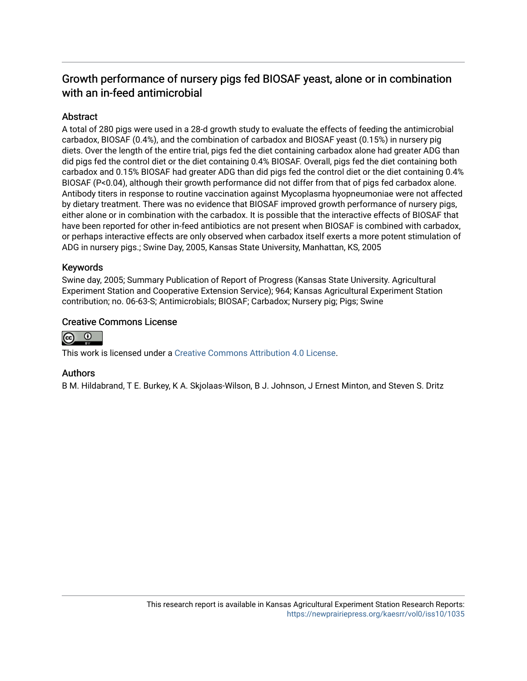# Growth performance of nursery pigs fed BIOSAF yeast, alone or in combination with an in-feed antimicrobial

## Abstract

A total of 280 pigs were used in a 28-d growth study to evaluate the effects of feeding the antimicrobial carbadox, BIOSAF (0.4%), and the combination of carbadox and BIOSAF yeast (0.15%) in nursery pig diets. Over the length of the entire trial, pigs fed the diet containing carbadox alone had greater ADG than did pigs fed the control diet or the diet containing 0.4% BIOSAF. Overall, pigs fed the diet containing both carbadox and 0.15% BIOSAF had greater ADG than did pigs fed the control diet or the diet containing 0.4% BIOSAF (P<0.04), although their growth performance did not differ from that of pigs fed carbadox alone. Antibody titers in response to routine vaccination against Mycoplasma hyopneumoniae were not affected by dietary treatment. There was no evidence that BIOSAF improved growth performance of nursery pigs, either alone or in combination with the carbadox. It is possible that the interactive effects of BIOSAF that have been reported for other in-feed antibiotics are not present when BIOSAF is combined with carbadox, or perhaps interactive effects are only observed when carbadox itself exerts a more potent stimulation of ADG in nursery pigs.; Swine Day, 2005, Kansas State University, Manhattan, KS, 2005

#### Keywords

Swine day, 2005; Summary Publication of Report of Progress (Kansas State University. Agricultural Experiment Station and Cooperative Extension Service); 964; Kansas Agricultural Experiment Station contribution; no. 06-63-S; Antimicrobials; BIOSAF; Carbadox; Nursery pig; Pigs; Swine

#### Creative Commons License



This work is licensed under a [Creative Commons Attribution 4.0 License](https://creativecommons.org/licenses/by/4.0/).

### Authors

B M. Hildabrand, T E. Burkey, K A. Skjolaas-Wilson, B J. Johnson, J Ernest Minton, and Steven S. Dritz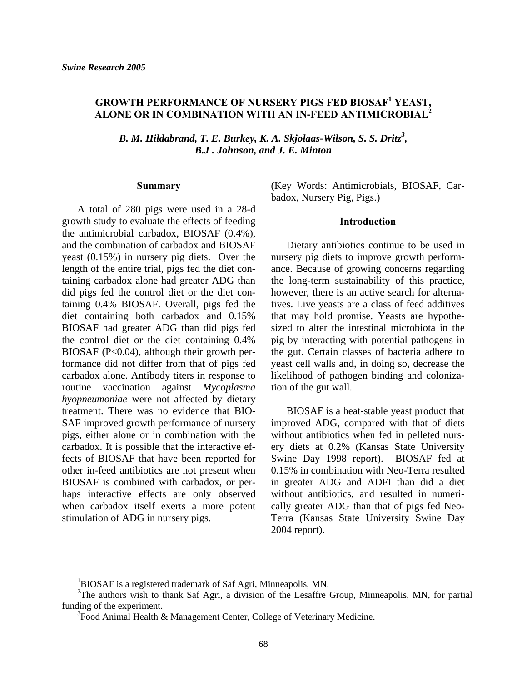## **GROWTH PERFORMANCE OF NURSERY PIGS FED BIOSAF<sup>1</sup> YEAST, ALONE OR IN COMBINATION WITH AN IN-FEED ANTIMICROBIAL<sup>2</sup>**

B. M. Hildabrand, T. E. Burkey, K. A. Skjolaas-Wilson, S. S. Dritz<sup>3</sup>, *B.J . Johnson, and J. E. Minton* 

#### **Summary**

 A total of 280 pigs were used in a 28-d growth study to evaluate the effects of feeding the antimicrobial carbadox, BIOSAF (0.4%), and the combination of carbadox and BIOSAF yeast (0.15%) in nursery pig diets. Over the length of the entire trial, pigs fed the diet containing carbadox alone had greater ADG than did pigs fed the control diet or the diet containing 0.4% BIOSAF. Overall, pigs fed the diet containing both carbadox and 0.15% BIOSAF had greater ADG than did pigs fed the control diet or the diet containing 0.4% BIOSAF  $(P<0.04)$ , although their growth performance did not differ from that of pigs fed carbadox alone. Antibody titers in response to routine vaccination against *Mycoplasma hyopneumoniae* were not affected by dietary treatment. There was no evidence that BIO-SAF improved growth performance of nursery pigs, either alone or in combination with the carbadox. It is possible that the interactive effects of BIOSAF that have been reported for other in-feed antibiotics are not present when BIOSAF is combined with carbadox, or perhaps interactive effects are only observed when carbadox itself exerts a more potent stimulation of ADG in nursery pigs.

l

(Key Words: Antimicrobials, BIOSAF, Carbadox, Nursery Pig, Pigs.)

#### **Introduction**

 Dietary antibiotics continue to be used in nursery pig diets to improve growth performance. Because of growing concerns regarding the long-term sustainability of this practice, however, there is an active search for alternatives. Live yeasts are a class of feed additives that may hold promise. Yeasts are hypothesized to alter the intestinal microbiota in the pig by interacting with potential pathogens in the gut. Certain classes of bacteria adhere to yeast cell walls and, in doing so, decrease the likelihood of pathogen binding and colonization of the gut wall.

 BIOSAF is a heat-stable yeast product that improved ADG, compared with that of diets without antibiotics when fed in pelleted nursery diets at 0.2% (Kansas State University Swine Day 1998 report). BIOSAF fed at 0.15% in combination with Neo-Terra resulted in greater ADG and ADFI than did a diet without antibiotics, and resulted in numerically greater ADG than that of pigs fed Neo-Terra (Kansas State University Swine Day 2004 report).

<sup>&</sup>lt;sup>1</sup>BIOSAF is a registered trademark of Saf Agri, Minneapolis, MN.

<sup>&</sup>lt;sup>2</sup>The authors wish to thank Saf Agri, a division of the Lesaffre Group, Minneapolis, MN, for partial funding of the experiment.

 $3$ Food Animal Health & Management Center, College of Veterinary Medicine.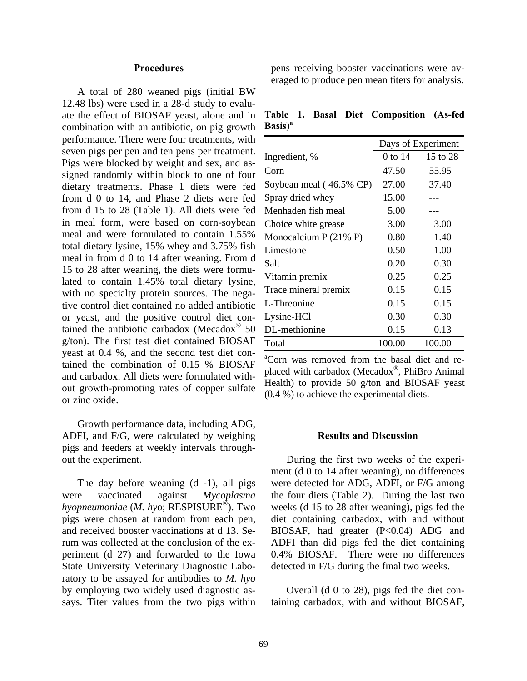#### **Procedures**

 A total of 280 weaned pigs (initial BW 12.48 lbs) were used in a 28-d study to evaluate the effect of BIOSAF yeast, alone and in combination with an antibiotic, on pig growth performance. There were four treatments, with seven pigs per pen and ten pens per treatment. Pigs were blocked by weight and sex, and assigned randomly within block to one of four dietary treatments. Phase 1 diets were fed from d 0 to 14, and Phase 2 diets were fed from d 15 to 28 (Table 1). All diets were fed in meal form, were based on corn-soybean meal and were formulated to contain 1.55% total dietary lysine, 15% whey and 3.75% fish meal in from d 0 to 14 after weaning. From d 15 to 28 after weaning, the diets were formulated to contain 1.45% total dietary lysine, with no specialty protein sources. The negative control diet contained no added antibiotic or yeast, and the positive control diet contained the antibiotic carbadox (Mecadox $^{\circ}$  50 g/ton). The first test diet contained BIOSAF yeast at 0.4 %, and the second test diet contained the combination of 0.15 % BIOSAF and carbadox. All diets were formulated without growth-promoting rates of copper sulfate or zinc oxide.

 Growth performance data, including ADG, ADFI, and F/G, were calculated by weighing pigs and feeders at weekly intervals throughout the experiment.

 The day before weaning (d -1), all pigs were vaccinated against *Mycoplasma hyopneumoniae* (*M. hy*o; RESPISURE®). Two pigs were chosen at random from each pen, and received booster vaccinations at d 13. Serum was collected at the conclusion of the experiment (d 27) and forwarded to the Iowa State University Veterinary Diagnostic Laboratory to be assayed for antibodies to *M. hyo* by employing two widely used diagnostic assays. Titer values from the two pigs within pens receiving booster vaccinations were averaged to produce pen mean titers for analysis.

**Table 1. Basal Diet Composition (As-fed Basis)a**

|                         | Days of Experiment |          |  |
|-------------------------|--------------------|----------|--|
| Ingredient, %           | 0 to 14            | 15 to 28 |  |
| Corn                    | 47.50              | 55.95    |  |
| Soybean meal (46.5% CP) | 27.00              | 37.40    |  |
| Spray dried whey        | 15.00              |          |  |
| Menhaden fish meal      | 5.00               |          |  |
| Choice white grease     | 3.00               | 3.00     |  |
| Monocalcium $P(21\% P)$ | 0.80               | 1.40     |  |
| Limestone               | 0.50               | 1.00     |  |
| Salt                    | 0.20               | 0.30     |  |
| Vitamin premix          | 0.25               | 0.25     |  |
| Trace mineral premix    | 0.15               | 0.15     |  |
| L-Threonine             | 0.15               | 0.15     |  |
| Lysine-HCl              | 0.30               | 0.30     |  |
| DL-methionine           | 0.15               | 0.13     |  |
| Total                   | 100.00             | 100.00   |  |

a Corn was removed from the basal diet and replaced with carbadox (Mecadox®, PhiBro Animal Health) to provide 50 g/ton and BIOSAF yeast (0.4 %) to achieve the experimental diets.

#### **Results and Discussion**

 During the first two weeks of the experiment (d 0 to 14 after weaning), no differences were detected for ADG, ADFI, or F/G among the four diets (Table 2). During the last two weeks (d 15 to 28 after weaning), pigs fed the diet containing carbadox, with and without BIOSAF, had greater (P<0.04) ADG and ADFI than did pigs fed the diet containing 0.4% BIOSAF. There were no differences detected in F/G during the final two weeks.

 Overall (d 0 to 28), pigs fed the diet containing carbadox, with and without BIOSAF,